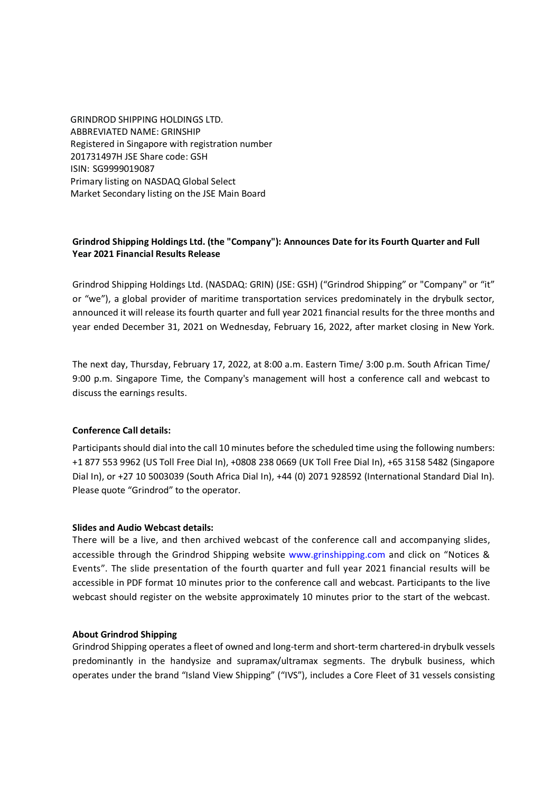GRINDROD SHIPPING HOLDINGS LTD. ABBREVIATED NAME: GRINSHIP Registered in Singapore with registration number 201731497H JSE Share code: GSH ISIN: SG9999019087 Primary listing on NASDAQ Global Select Market Secondary listing on the JSE Main Board

# **Grindrod Shipping Holdings Ltd. (the "Company"): Announces Date for its Fourth Quarter and Full Year 2021 Financial Results Release**

Grindrod Shipping Holdings Ltd. (NASDAQ: GRIN) (JSE: GSH) ("Grindrod Shipping" or "Company" or "it" or "we"), a global provider of maritime transportation services predominately in the drybulk sector, announced it will release its fourth quarter and full year 2021 financial results for the three months and year ended December 31, 2021 on Wednesday, February 16, 2022, after market closing in New York.

The next day, Thursday, February 17, 2022, at 8:00 a.m. Eastern Time/ 3:00 p.m. South African Time/ 9:00 p.m. Singapore Time, the Company's management will host a conference call and webcast to discuss the earnings results.

## **Conference Call details:**

Participants should dial into the call 10 minutes before the scheduled time using the following numbers: +1 877 553 9962 (US Toll Free Dial In), +0808 238 0669 (UK Toll Free Dial In), +65 3158 5482 (Singapore Dial In), or +27 10 5003039 (South Africa Dial In), +44 (0) 2071 928592 (International Standard Dial In). Please quote "Grindrod" to the operator.

### **Slides and Audio Webcast details:**

There will be a live, and then archived webcast of the conference call and accompanying slides, accessible through the Grindrod Shipping website www.grinshipping.com and click on "Notices & Events". The slide presentation of the fourth quarter and full year 2021 financial results will be accessible in PDF format 10 minutes prior to the conference call and webcast. Participants to the live webcast should register on the website approximately 10 minutes prior to the start of the webcast.

### **About Grindrod Shipping**

Grindrod Shipping operates a fleet of owned and long-term and short-term chartered-in drybulk vessels predominantly in the handysize and supramax/ultramax segments. The drybulk business, which operates under the brand "Island View Shipping" ("IVS"), includes a Core Fleet of 31 vessels consisting